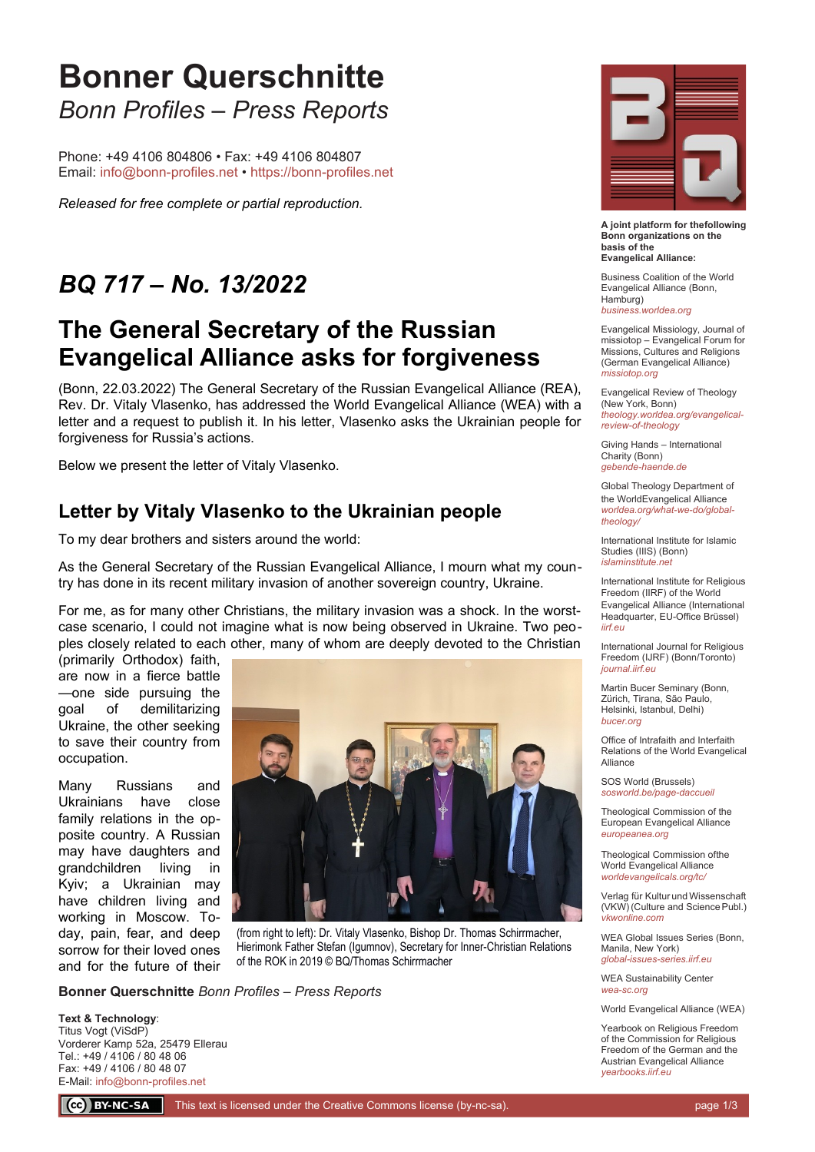# **Bonner Querschnitte** *Bonn Profiles – Press Reports*

Phone: +49 4106 804806 • Fax: +49 4106 804807 Email: [info@bonn-profiles.net](mailto:info@bonn-profiles.net?subject=Frage%20zu%20Bonner%20Querschnitte) • [https://bonn-profiles.net](https://bonn-profiles.net/)

*Released for free complete or partial reproduction.*

# *BQ 717 – No. 13/2022*

### **The General Secretary of the Russian Evangelical Alliance asks for forgiveness**

(Bonn, 22.03.2022) The General Secretary of the Russian Evangelical Alliance (REA), Rev. Dr. Vitaly Vlasenko, has addressed the World Evangelical Alliance (WEA) with a letter and a request to publish it. In his letter, Vlasenko asks the Ukrainian people for forgiveness for Russia's actions.

Below we present the letter of Vitaly Vlasenko.

### **Letter by Vitaly Vlasenko to the Ukrainian people**

To my dear brothers and sisters around the world:

As the General Secretary of the Russian Evangelical Alliance, I mourn what my country has done in its recent military invasion of another sovereign country, Ukraine.

For me, as for many other Christians, the military invasion was a shock. In the worstcase scenario, I could not imagine what is now being observed in Ukraine. Two peoples closely related to each other, many of whom are deeply devoted to the Christian

(primarily Orthodox) faith, are now in a fierce battle —one side pursuing the goal of demilitarizing Ukraine, the other seeking to save their country from occupation.

Many Russians and Ukrainians have close family relations in the opposite country. A Russian may have daughters and grandchildren living in Kyiv; a Ukrainian may have children living and working in Moscow. Today, pain, fear, and deep sorrow for their loved ones and for the future of their



(from right to left): Dr. Vitaly Vlasenko, Bishop Dr. Thomas Schirrmacher, Hierimonk Father Stefan (Igumnov), Secretary for Inner-Christian Relations of the ROK in 2019 © BQ/Thomas Schirrmacher

**Bonner Querschnitte** *Bonn Profiles – Press Reports*

**Text & Technology**: Titus Vogt (ViSdP) Vorderer Kamp 52a, 25479 Ellerau Tel.: +49 / 4106 / 80 48 06 Fax: +49 / 4106 / 80 48 07 E-Mail: [info@bonn-profiles.net](mailto:info@bonn-profiles.net)



**A joint platform for thefollowing Bonn organizations on the basis of the Evangelical Alliance:**

Business Coalition of the World Evangelical Alliance (Bonn, Hamburg) *[business.worldea.org](https://business.worldea.org/)*

Evangelical Missiology, Journal of missiotop – Evangelical Forum for Missions, Cultures and Religions (German Evangelical Alliance) *[missiotop.org](http://www.missiotop.org/)*

Evangelical Review of Theology (New York, Bonn) *[theology.worldea.org/evangelical](https://theology.worldea.org/evangelical-review-of-theology/)[review-of-theology](https://theology.worldea.org/evangelical-review-of-theology/)*

Giving Hands – International Charity (Bonn) *[gebende-haende.de](http://www.gebende-haende.de/)*

Global Theology Department of the WorldEvangelical Alliance *[worldea.org/what-we-do/global](https://worldea.org/what-we-do/global-theology/)[theology/](https://worldea.org/what-we-do/global-theology/)*

International Institute for Islamic Studies (IIIS) (Bonn) *[islaminstitute.net](http://www.islaminstitute.net/)*

International Institute for Religious Freedom (IIRF) of the World Evangelical Alliance (International Headquarter, EU-Office Brüssel) *[iirf.eu](http://www.iirf.eu/)*

International Journal for Religious Freedom (IJRF) (Bonn/Toronto) *[journal.iirf.eu](http://journal.iirf.eu/)*

Martin Bucer Seminary (Bonn, Zürich, Tirana, São Paulo, Helsinki, Istanbul, Delhi) *[bucer.org](http://www.bucer.org/)*

Office of Intrafaith and Interfaith Relations of the World Evangelical Alliance

SOS World (Brussels) *[sosworld.be/page-daccueil](http://www.sosworld.be/page-daccueil/)*

Theological Commission of the European Evangelical Alliance *[europeanea.org](http://www.europeanea.org/)*

Theological Commission ofthe World Evangelical Alliance *[worldevangelicals.org/tc/](http://www.worldevangelicals.org/tc/)*

Verlag für Kultur und Wissenschaft (VKW) (Culture and Science Publ.) *[vkwonline.com](http://www.vkwonline.com/)*

WEA Global Issues Series (Bonn, Manila, New York) *[global-issues-series.iirf.eu](https://iirf.eu/journal-books/global-issues-series/)*

WEA Sustainability Center *[wea-sc.org](http://www.wea-sc.org/)*

World Evangelical Alliance (WEA)

Yearbook on Religious Freedom of the Commission for Religious Freedom of the German and the Austrian Evangelical Alliance *[yearbooks.iirf.eu](http://yearbooks.iirf.eu/)*

CC BY-NC-SA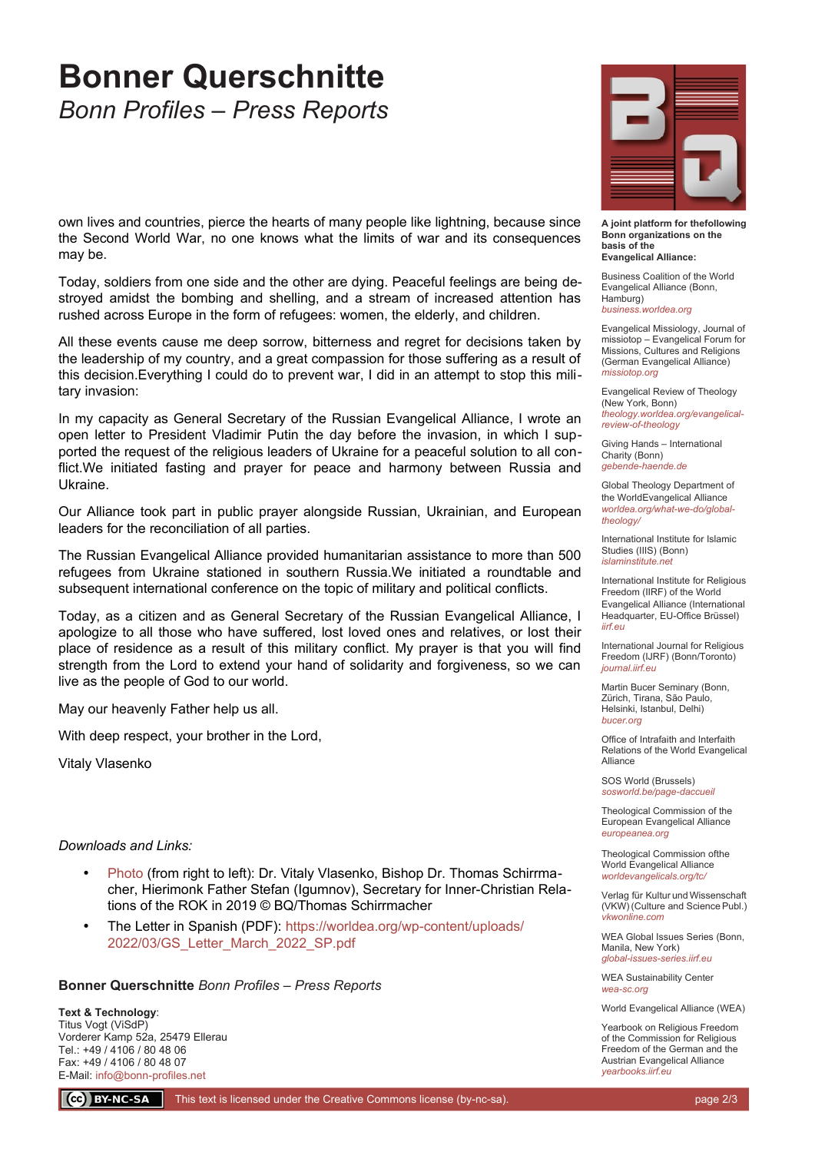# **Bonner Querschnitte** *Bonn Profiles – Press Reports*

own lives and countries, pierce the hearts of many people like lightning, because since the Second World War, no one knows what the limits of war and its consequences may be.

Today, soldiers from one side and the other are dying. Peaceful feelings are being destroyed amidst the bombing and shelling, and a stream of increased attention has rushed across Europe in the form of refugees: women, the elderly, and children.

All these events cause me deep sorrow, bitterness and regret for decisions taken by the leadership of my country, and a great compassion for those suffering as a result of this decision.Everything I could do to prevent war, I did in an attempt to stop this military invasion:

In my capacity as General Secretary of the Russian Evangelical Alliance, I wrote an open letter to President Vladimir Putin the day before the invasion, in which I supported the request of the religious leaders of Ukraine for a peaceful solution to all conflict.We initiated fasting and prayer for peace and harmony between Russia and Ukraine.

Our Alliance took part in public prayer alongside Russian, Ukrainian, and European leaders for the reconciliation of all parties.

The Russian Evangelical Alliance provided humanitarian assistance to more than 500 refugees from Ukraine stationed in southern Russia.We initiated a roundtable and subsequent international conference on the topic of military and political conflicts.

Today, as a citizen and as General Secretary of the Russian Evangelical Alliance, I apologize to all those who have suffered, lost loved ones and relatives, or lost their place of residence as a result of this military conflict. My prayer is that you will find strength from the Lord to extend your hand of solidarity and forgiveness, so we can live as the people of God to our world.

May our heavenly Father help us all.

With deep respect, your brother in the Lord,

Vitaly Vlasenko

#### *Downloads and Links:*

- [Photo](https://bucer.org/fileadmin/dateien/Dokumente/BQs/BQ700ff/BQ717/BQ0717.jpg) (from right to left): Dr. Vitaly Vlasenko, Bishop Dr. Thomas Schirrmacher, Hierimonk Father Stefan (Igumnov), Secretary for Inner-Christian Relations of the ROK in 2019 © BQ/Thomas Schirrmacher
- The Letter in Spanish (PDF): [https://worldea.org/wp-content/uploads/](https://worldea.org/wp-content/uploads/2022/03/GS_Letter_March_2022_SP.pdf) [2022/03/GS\\_Letter\\_March\\_2022\\_SP.pdf](https://worldea.org/wp-content/uploads/2022/03/GS_Letter_March_2022_SP.pdf)

#### **Bonner Querschnitte** *Bonn Profiles – Press Reports*

**Text & Technology**: Titus Vogt (ViSdP) Vorderer Kamp 52a, 25479 Ellerau Tel.: +49 / 4106 / 80 48 06 Fax: +49 / 4106 / 80 48 07 E-Mail: [info@bonn-profiles.net](mailto:info@bonn-profiles.net)



**A joint platform for thefollowing Bonn organizations on the basis of the Evangelical Alliance:**

Business Coalition of the World Evangelical Alliance (Bonn, Hamburg) *[business.worldea.org](https://business.worldea.org/)*

Evangelical Missiology, Journal of missiotop – Evangelical Forum for Missions, Cultures and Religions (German Evangelical Alliance) *[missiotop.org](http://www.missiotop.org/)*

Evangelical Review of Theology (New York, Bonn) *[theology.worldea.org/evangelical](https://theology.worldea.org/evangelical-review-of-theology/)[review-of-theology](https://theology.worldea.org/evangelical-review-of-theology/)*

Giving Hands – International Charity (Bonn) *[gebende-haende.de](http://www.gebende-haende.de/)*

Global Theology Department of the WorldEvangelical Alliance *[worldea.org/what-we-do/global](https://worldea.org/what-we-do/global-theology/)[theology/](https://worldea.org/what-we-do/global-theology/)*

International Institute for Islamic Studies (IIIS) (Bonn) *[islaminstitute.net](http://www.islaminstitute.net/)*

International Institute for Religious Freedom (IIRF) of the World Evangelical Alliance (International Headquarter, EU-Office Brüssel) *[iirf.eu](http://www.iirf.eu/)*

International Journal for Religious Freedom (IJRF) (Bonn/Toronto) *[journal.iirf.eu](http://journal.iirf.eu/)*

Martin Bucer Seminary (Bonn, Zürich, Tirana, São Paulo, Helsinki, Istanbul, Delhi) *[bucer.org](http://www.bucer.org/)*

Office of Intrafaith and Interfaith Relations of the World Evangelical Alliance

SOS World (Brussels) *[sosworld.be/page-daccueil](http://www.sosworld.be/page-daccueil/)*

Theological Commission of the European Evangelical Alliance *[europeanea.org](http://www.europeanea.org/)*

Theological Commission ofthe World Evangelical Alliance *[worldevangelicals.org/tc/](http://www.worldevangelicals.org/tc/)*

Verlag für Kultur und Wissenschaft (VKW) (Culture and Science Publ.) *[vkwonline.com](http://www.vkwonline.com/)*

WEA Global Issues Series (Bonn, Manila, New York) *[global-issues-series.iirf.eu](https://iirf.eu/journal-books/global-issues-series/)*

WEA Sustainability Center *[wea-sc.org](http://www.wea-sc.org/)*

World Evangelical Alliance (WEA)

Yearbook on Religious Freedom of the Commission for Religious Freedom of the German and the Austrian Evangelical Alliance *[yearbooks.iirf.eu](http://yearbooks.iirf.eu/)*